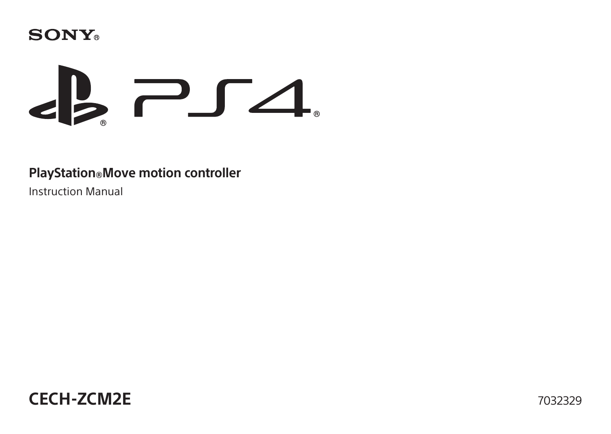



#### **PlayStation®Move motion controller**

Instruction Manual

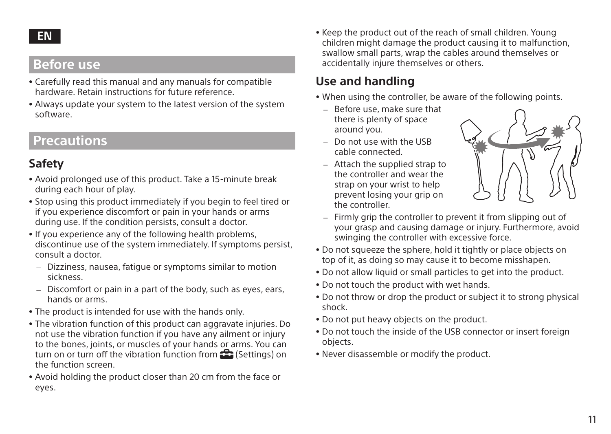#### **EN**

## **Before use**

- ˎ Carefully read this manual and any manuals for compatible hardware. Retain instructions for future reference.
- ˎ Always update your system to the latest version of the system software.

## **Precautions**

#### **Safety**

- ˎ Avoid prolonged use of this product. Take a 15-minute break during each hour of play.
- ˎ Stop using this product immediately if you begin to feel tired or if you experience discomfort or pain in your hands or arms during use. If the condition persists, consult a doctor.
- ˎ If you experience any of the following health problems, discontinue use of the system immediately. If symptoms persist, consult a doctor.
	- ˋ Dizziness, nausea, fatigue or symptoms similar to motion sickness.
	- Discomfort or pain in a part of the body, such as eyes, ears, hands or arms.
- . The product is intended for use with the hands only.
- ˎ The vibration function of this product can aggravate injuries. Do not use the vibration function if you have any ailment or injury to the bones, joints, or muscles of your hands or arms. You can turn on or turn off the vibration function from  $\mathbb{S}$  (Settings) on the function screen.
- ˎ Avoid holding the product closer than 20 cm from the face or eyes.

ˎ Keep the product out of the reach of small children. Young children might damage the product causing it to malfunction, swallow small parts, wrap the cables around themselves or accidentally injure themselves or others.

## **Use and handling**

- When using the controller, be aware of the following points.
	- Before use, make sure that there is plenty of space around you.
	- $-$  Do not use with the USB cable connected.
	- $-$  Attach the supplied strap to the controller and wear the strap on your wrist to help prevent losing your grip on the controller.



- Firmly grip the controller to prevent it from slipping out of your grasp and causing damage or injury. Furthermore, avoid swinging the controller with excessive force.
- ˎ Do not squeeze the sphere, hold it tightly or place objects on top of it, as doing so may cause it to become misshapen.
- ˎ Do not allow liquid or small particles to get into the product.
- . Do not touch the product with wet hands.
- ˎ Do not throw or drop the product or subject it to strong physical shock.
- ˎ Do not put heavy objects on the product.
- Do not touch the inside of the USB connector or insert foreign objects.
- ˎ Never disassemble or modify the product.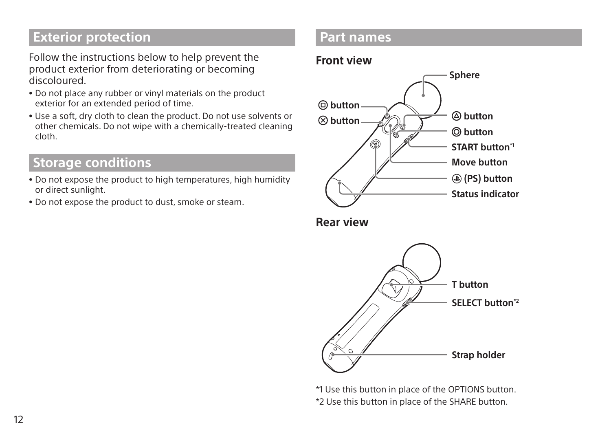## **Exterior protection**

Follow the instructions below to help prevent the product exterior from deteriorating or becoming discoloured.

- ˎ Do not place any rubber or vinyl materials on the product exterior for an extended period of time.
- ˎ Use a soft, dry cloth to clean the product. Do not use solvents or other chemicals. Do not wipe with a chemically-treated cleaning cloth.

## **Storage conditions**

- ˎ Do not expose the product to high temperatures, high humidity or direct sunlight.
- ˎ Do not expose the product to dust, smoke or steam.

### **Part names**

#### **Front view**



**Rear view**



\*1 Use this button in place of the OPTIONS button. \*2 Use this button in place of the SHARE button.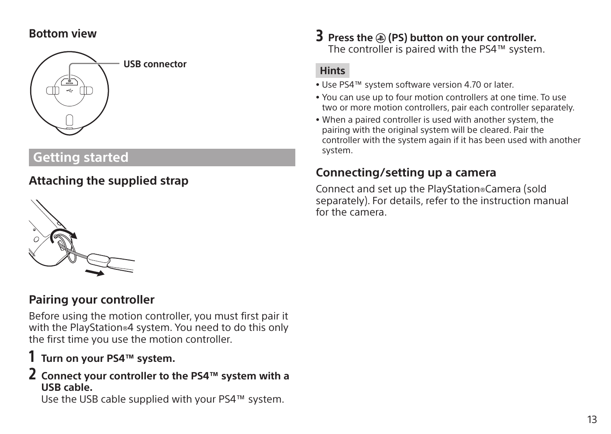#### **Bottom view**



# **Getting started**

# **Attaching the supplied strap**



## **Pairing your controller**

Before using the motion controller, you must first pair it with the PlayStation®4 system. You need to do this only the first time you use the motion controller.

## 1 **Turn on your PS4™ system.**

#### 2 **Connect your controller to the PS4™ system with a USB cable.**

Use the USB cable supplied with your PS4™ system.

3 **Press the (PS) button on your controller.** The controller is paired with the PS4™ system.

#### **Hints**

- ˎ Use PS4™ system software version 4.70 or later.
- ˎ You can use up to four motion controllers at one time. To use two or more motion controllers, pair each controller separately.
- ˎ When a paired controller is used with another system, the pairing with the original system will be cleared. Pair the controller with the system again if it has been used with another system.

### **Connecting/setting up a camera**

Connect and set up the PlayStation®Camera (sold separately). For details, refer to the instruction manual for the camera.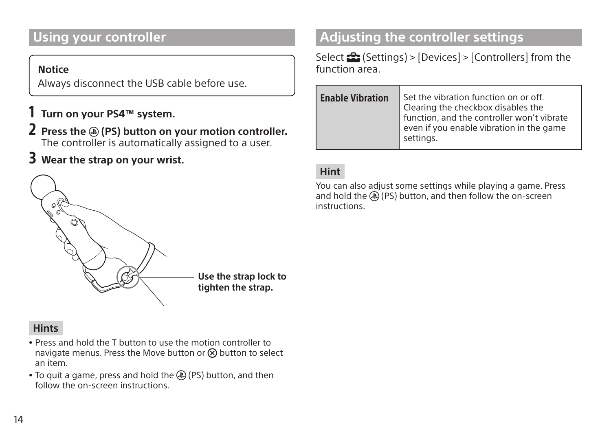# **Using your controller**

#### **Notice**

Always disconnect the USB cable before use.

- 1 **Turn on your PS4™ system.**
- 2 **Press the (PS) button on your motion controller.** The controller is automatically assigned to a user.
- 3 **Wear the strap on your wrist.**



#### **Hints**

- . Press and hold the T button to use the motion controller to navigate menus. Press the Move button or  $\Omega$  button to select an item.
- To quit a game, press and hold the (D) (PS) button, and then follow the on-screen instructions.

# **Adjusting the controller settings**

Select  $\triangleq$  (Settings) > [Devices] > [Controllers] from the function area.

| <b>Enable Vibration</b> | Set the vibration function on or off.<br>Clearing the checkbox disables the<br>function, and the controller won't vibrate<br>even if you enable vibration in the game<br>settings. |
|-------------------------|------------------------------------------------------------------------------------------------------------------------------------------------------------------------------------|
|                         |                                                                                                                                                                                    |

#### **Hint**

You can also adjust some settings while playing a game. Press and hold the  $\overline{P}(P5)$  button, and then follow the on-screen instructions.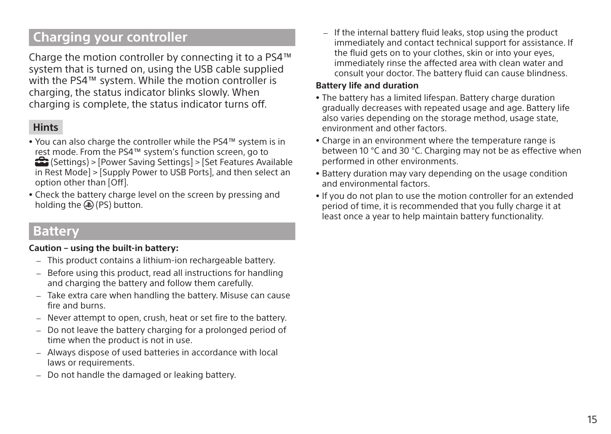# **Charging your controller**

Charge the motion controller by connecting it to a PS4™ system that is turned on, using the USB cable supplied with the PS4™ system. While the motion controller is charging, the status indicator blinks slowly. When charging is complete, the status indicator turns off.

#### **Hints**

- ˎ You can also charge the controller while the PS4™ system is in rest mode. From the PS4™ system's function screen, go to (Settings) > [Power Saving Settings] > [Set Features Available in Rest Mode] > [Supply Power to USB Ports], and then select an option other than [Off].
- ˎ Check the battery charge level on the screen by pressing and holding the (D (PS) button.

## **Battery**

#### **Caution – using the built-in battery:**

- This product contains a lithium-ion rechargeable battery.
- Before using this product, read all instructions for handling and charging the battery and follow them carefully.
- Take extra care when handling the battery. Misuse can cause fire and burns.
- Never attempt to open, crush, heat or set fire to the battery.
- Do not leave the battery charging for a prolonged period of time when the product is not in use.
- Always dispose of used batteries in accordance with local laws or requirements.
- Do not handle the damaged or leaking battery.

- If the internal battery fluid leaks, stop using the product immediately and contact technical support for assistance. If the fluid gets on to your clothes, skin or into your eyes, immediately rinse the affected area with clean water and consult your doctor. The battery fluid can cause blindness.

#### **Battery life and duration**

- . The battery has a limited lifespan. Battery charge duration gradually decreases with repeated usage and age. Battery life also varies depending on the storage method, usage state, environment and other factors.
- Charge in an environment where the temperature range is between 10 °C and 30 °C. Charging may not be as effective when performed in other environments.
- ˎ Battery duration may vary depending on the usage condition and environmental factors.
- ˎ If you do not plan to use the motion controller for an extended period of time, it is recommended that you fully charge it at least once a year to help maintain battery functionality.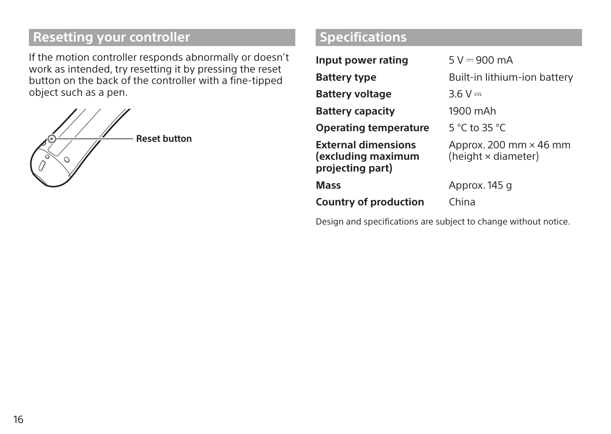# **Resetting your controller**

If the motion controller responds abnormally or doesn't work as intended, try resetting it by pressing the reset button on the back of the controller with a fine-tipped object such as a pen.



# **Specifications**

| Input power rating                                                   | $5 V = 900 mA$                                       |
|----------------------------------------------------------------------|------------------------------------------------------|
| Battery type                                                         | Built-in lithium-ion battery                         |
| Battery voltage                                                      | $3.6 V =$                                            |
| <b>Battery capacity</b>                                              | 1900 mAh                                             |
| Operating temperature                                                | 5 °C to 35 °C                                        |
| <b>External dimensions</b><br>(excluding maximum<br>projecting part) | Approx. 200 mm $\times$ 46 mm<br>(height × diameter) |
| Mass                                                                 | Approx. 145 g                                        |
| <b>Country of production</b>                                         | China                                                |

Design and specifications are subject to change without notice.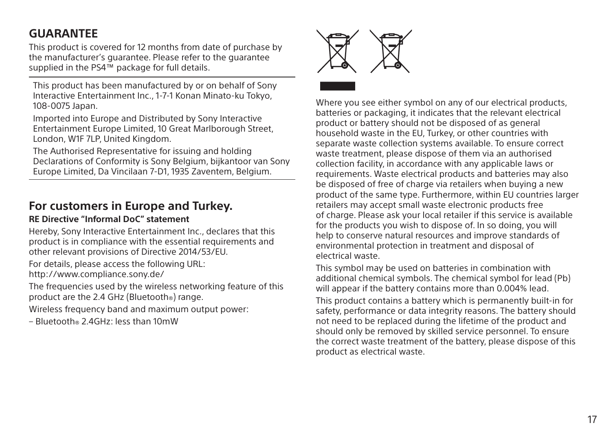## **GUARANTEE**

This product is covered for 12 months from date of purchase by the manufacturer's guarantee. Please refer to the guarantee supplied in the PS4™ package for full details.

This product has been manufactured by or on behalf of Sony Interactive Entertainment Inc., 1-7-1 Konan Minato-ku Tokyo, 108-0075 Japan.

Imported into Europe and Distributed by Sony Interactive Entertainment Europe Limited, 10 Great Marlborough Street, London, W1F 7LP, United Kingdom.

The Authorised Representative for issuing and holding Declarations of Conformity is Sony Belgium, bijkantoor van Sony Europe Limited, Da Vincilaan 7-D1, 1935 Zaventem, Belgium.

#### **For customers in Europe and Turkey.**

#### **RE Directive "Informal DoC" statement**

Hereby, Sony Interactive Entertainment Inc., declares that this product is in compliance with the essential requirements and other relevant provisions of Directive 2014/53/EU.

For details, please access the following URL: http://www.compliance.sony.de/

The frequencies used by the wireless networking feature of this product are the 2.4 GHz (Bluetooth®) range.

Wireless frequency band and maximum output power:

– Bluetooth® 2.4GHz: less than 10mW



Where you see either symbol on any of our electrical products. batteries or packaging, it indicates that the relevant electrical product or battery should not be disposed of as general household waste in the EU, Turkey, or other countries with separate waste collection systems available. To ensure correct waste treatment, please dispose of them via an authorised collection facility, in accordance with any applicable laws or requirements. Waste electrical products and batteries may also be disposed of free of charge via retailers when buying a new product of the same type. Furthermore, within EU countries larger retailers may accept small waste electronic products free of charge. Please ask your local retailer if this service is available for the products you wish to dispose of. In so doing, you will help to conserve natural resources and improve standards of environmental protection in treatment and disposal of electrical waste.

This symbol may be used on batteries in combination with additional chemical symbols. The chemical symbol for lead (Pb) will appear if the battery contains more than 0.004% lead.

This product contains a battery which is permanently built-in for safety, performance or data integrity reasons. The battery should not need to be replaced during the lifetime of the product and should only be removed by skilled service personnel. To ensure the correct waste treatment of the battery, please dispose of this product as electrical waste.